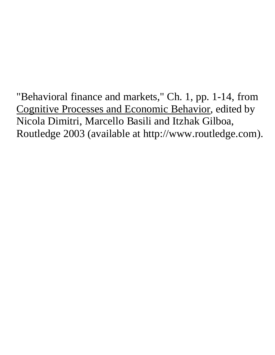"Behavioral finance and markets," Ch. 1, pp. 1-14, from Cognitive Processes and Economic Behavior, edited by Nicola Dimitri, Marcello Basili and Itzhak Gilboa, Routledge 2003 (available at http://www.routledge.com).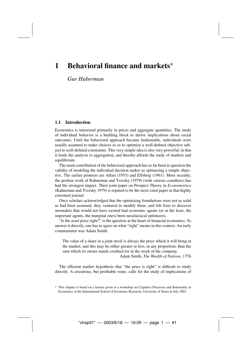# **1 Behavioral finance and markets**<sup>∗</sup>

## *Gur Huberman*

#### **1.1 Introduction**

Economics is interested primarily in prices and aggregate quantities. The study of individual behavior is a building block to derive implications about social outcomes. Until the behavioral approach became fashionable, individuals were usually assumed to make choices so as to optimize a well-defined objective subject to well-defined constraints. This very simple idea is also very powerful, in that it lends the analysis to aggregation, and thereby affords the study of markets and equilibrium.

The main contribution of the behavioral approach has so far been to question the validity of modeling the individual decision maker as optimizing a simple objective. The earlier pioneers are Allais (1953) and Ellsberg (1961). More recently, the profuse work of Kahneman and Tversky (1979) (with various coauthors) has had the strongest impact. Their joint paper on Prospect Theory in *Econometrica* (Kahneman and Tversky 1979) is reputed to be the most cited paper in that highly esteemed journal.

Once scholars acknowledged that the optimizing foundations were not as solid as had been assumed, they ventured to modify them, and felt freer to discover anomalies that would not have existed had economic agents (or at the least, the important agents, the marginal ones) been neoclassical optimizers.

"Is the asset price right?" is the question at the heart of financial economics. To answer it directly, one has to agree on what "right" means in this context. An early commentator was Adam Smith.

The value of a share in a joint stock is always the price which it will bring in the market; and this may be either greater or less, in any proportion, than the sum which its owner stands credited for in the stock of the company.

Adam Smith, *The Wealth of Nations*, 1776

The efficient market hypothesis that "the price is right" is difficult to study directly. A circuitous, but profitable route, calls for the study of implications of

<sup>\*</sup> This chapter is based on a lecture given at a workshop on Cognitive Processes and Rationality in Economics at the International School of Economic Research, University of Siena in July 2001.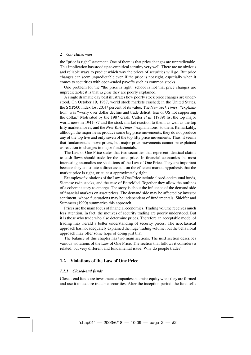the "price is right" statement. One of them is that price changes are unpredictable. This implication has stood up to empirical scrutiny very well. There are no obvious and reliable ways to predict which way the prices of securities will go. But price changes can seem unpredictable even if the price is not right, especially when it comes to securities with open-ended payoffs such as common stocks.

One problem for the "the price is right" school is not that price changes are unpredictable; it is that *ex post* they are poorly explained.

A single dramatic day best illustrates how poorly stock price changes are understood. On October 19, 1987, world stock markets crashed; in the United States, the S&P500 index lost 20.47 percent of its value. The *New York Times*' "explanation" was "worry over dollar decline and trade deficit, fear of US not supporting the dollar." Motivated by the 1987 crash, Cutler *et al*. (1989) list the top major world news in 1941–87 and the stock market reaction to them, as well as the top fifty market moves, and the *New York Times*, "explanations" to them. Remarkably, although the major news produce some big price movements, they do not produce any of the top five and only seven of the top fifty price movements. Thus, it seems that fundamentals move prices, but major price movements cannot be explained as reaction to changes in major fundamentals.

The Law of One Price states that two securities that represent identical claims to cash flows should trade for the same price. In financial economics the most interesting anomalies are violations of the Law of One Price. They are important because they constitute a direct assault on the efficient market hypothesis that the market price is right, or at least approximately right.

Examples of violations of the Law of One Price include closed-end mutual funds, Siamese twin stocks, and the case of EntreMed. Together they allow the outlines of a coherent story to emerge. The story is about the influence of the demand side of financial markets on asset prices. The demand side may be affected by investor sentiment, whose fluctuations may be independent of fundamentals. Shleifer and Summers (1990) summarize this approach.

Prices are the main focus of financial economics. Trading volume receives much less attention. In fact, the motives of security trading are poorly understood. But it is those who trade who also determine prices. Therefore an acceptable model of trading may herald a better understanding of security prices. The neoclassical approach has not adequately explained the huge trading volume, but the behavioral approach may offer some hope of doing just that.

The balance of this chapter has two main sections. The next section describes various violations of the Law of One Price. The section that follows it considers a related, but very different and fundamental issue: Why do people trade?

## **1.2 Violations of the Law of One Price**

## *1.2.1 Closed-end funds*

Closed-end funds are investment companies that raise equity when they are formed and use it to acquire tradable securities. After the inception period, the fund sells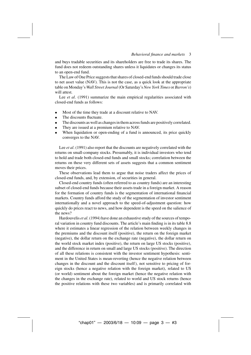and buys tradable securities and its shareholders are free to trade its shares. The fund does not redeem outstanding shares unless it liquidates or changes its status to an open-end fund.

The Law of One Price suggests that shares of closed-end funds should trade close to net asset value (NAV). This is not the case, as a quick look at the appropriate table on Monday's *Wall Street Journal* (Or Saturday's *New York Times* or *Barron's*) will attest.

Lee *et al.* (1991) summarize the main empirical regularities associated with closed-end funds as follows:

- Most of the time they trade at a discount relative to NAV.
- The discounts fluctuate.
- The discounts as well as changes in them across funds are positively correlated.
- They are issued at a premium relative to NAV.
- When liquidation or open-ending of a fund is announced, its price quickly converges to the NAV.

Lee *et al*. (1991) also report that the discounts are negatively correlated with the returns on small-company stocks. Presumably, it is individual investors who tend to hold and trade both closed-end funds and small stocks; correlation between the returns on these very different sets of assets suggests that a common sentiment moves their prices.

These observations lead them to argue that noise traders affect the prices of closed-end funds, and, by extension, of securities in general.

Closed-end country funds (often referred to as country funds) are an interesting subset of closed-end funds because their assets trade in a foreign market. A reason for the formation of country funds is the segmentation of international financial markets. Country funds afford the study of the segmentation of investor sentiment internationally and a novel approach to the speed-of-adjustment question: how quickly do prices react to news, and how dependent is the speed on the salience of the news?

Hardouvelis *et al*. (1994) have done an exhaustive study of the sources of temporal variation in country fund discounts. The article's main finding is in its table 8.8 where it estimates a linear regression of the relation between weekly changes in the premiums and the discount itself (positive), the return on the foreign market (negative), the dollar return on the exchange rate (negative), the dollar return on the world stock market index (positive), the return on large US stocks (positive), and the difference in return on small and large US stocks (positive). The direction of all these relations is consistent with the investor sentiment hypothesis: sentiment in the United States is mean-reverting (hence the negative relation between changes in the discount and the discount itself), not sensitive to pricing of foreign stocks (hence a negative relation with the foreign market), related to US (or world) sentiment about the foreign market (hence the negative relation with the changes in the exchange rate), related to world and US stock returns (hence the positive relations with these two variables) and is primarily correlated with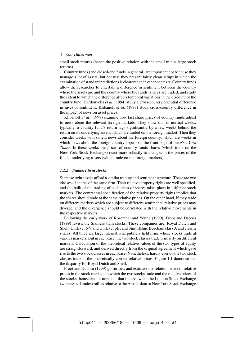small stock returns (hence the positive relation with the small minus large stock returns).

Country funds (and closed-end funds in general) are important not because they manage a lot of assets, but because they present fairly clean setups in which the examination of standard predictions is clearer than in other contexts. Country funds allow the researcher to entertain a difference in sentiment between the country where the assets are and the country where the funds' shares are traded, and study the extent to which the difference affects temporal variations in the discount of the country fund. Hardouvelis *et al*. (1994) study a cross-country potential difference in investor sentiment. Klibanoff *et al*. (1998) study cross-country difference in the impact of news on asset prices.

Klibanoff *et al*. (1998) examine how fast share prices of country funds adjust to news about the relevant foreign markets. They show that in normal weeks, typically, a country fund's return lags significantly by a few weeks behind the return on its underlying assets, which are traded on the foreign market. Then they consider weeks with salient news about the foreign country, which are weeks in which news about the foreign country appear on the front page of the *New York Times*. In these weeks the prices of country-funds shares (which trade on the New York Stock Exchange) react more robustly to changes in the prices of the funds' underlying assets (which trade on the foreign markets).

#### *1.2.2 Siamese twin stocks*

Siamese twin stocks afford a similar trading and sentiment structure. These are two classes of shares of the same firm. Their relative property rights are well specified, and the bulk of the trading of each class of shares takes place in different stock markets. The contractual specification of the relative property rights implies that the shares should trade at the same relative prices. On the other hand, if they trade on different markets which are subject to different sentiments, relative prices may diverge, and the divergence should be correlated with the relative movements in the respective markets.

Following the early work of Rosenthal and Young (1990), Froot and Dabora (1999) revisit the Siamese twin stocks. These companies are: Royal Dutch and Shell, Unilever NV and Unilever plc, and SmithKline Beecham class A and class E shares. All three are large international publicly held firms whose stocks trade at various markets. But in each case, the two stock classes trade primarily on different markets. Calculation of the theoretical relative values of the two types of equity are straightforward, and derived directly from the original agreement which gave rise to the two stock classes in each case. Nonetheless, hardly ever do the two stock classes trade at the theoretically correct relative prices. Figure 1.1 demonstrates the disparity for Royal Dutch and Shell.

Froot and Dabora (1999) go further, and estimate the relation between relative prices in the stock markets in which the two stocks trade and the relative prices of the stocks themselves. It turns out that indeed, when the London Stock Exchange (where Shell trades) rallies relative to the Amsterdam or New York Stock Exchange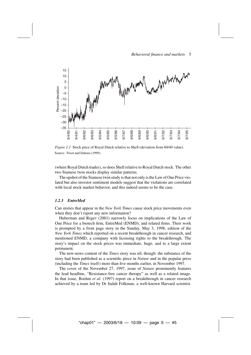

*Figure 1.1* Stock price of Royal Dutch relative to Shell (deviation from 60/40 value). Source: Froot and Dabora (1999).

(where Royal Dutch trades), so does Shell relative to Royal Dutch stock. The other two Siamese twin stocks display similar patterns.

The upshot of the Siamese twin study is that not only is the Law of One Price violated but also investor sentiment models suggest that the violations are correlated with local stock market behavior, and this indeed seems to be the case.

#### *1.2.3 EntreMed*

–35 –30

> 9/4/80 9/4/81 9/6/82 9/6/83 9/5/84 9/5/85 9/5/86 9/7/87 9/6/88 9/6/89 9/6/90 9/6/91 9/7/92 9/7/93 9/7/94 9/7/95

Can stories that appear in the *New York Times* cause stock price movements even when they don't report any new information?

Huberman and Regev (2001) narrowly focus on implications of the Law of One Price for a biotech firm, EntreMed (ENMD), and related firms. Their work is prompted by a front page story in the Sunday, May 3, 1998, edition of the *New York Times* which reported on a recent breakthrough in cancer research, and mentioned ENMD, a company with licensing rights to the breakthrough. The story's impact on the stock prices was immediate, huge, and to a large extent permanent.

The new-news content of the *Times* story was nil, though: the substance of the story had been published as a scientific piece in *Nature* and in the popular press (including the *Times* itself) more than five months earlier, in November 1997.

The cover of the November 27, 1997, issue of *Nature* prominently features the lead headline, "Resistance-free cancer therapy" as well as a related image. In that issue, Boehm *et al*. (1997) report on a breakthrough in cancer research achieved by a team led by Dr Judah Folkman, a well-known Harvard scientist.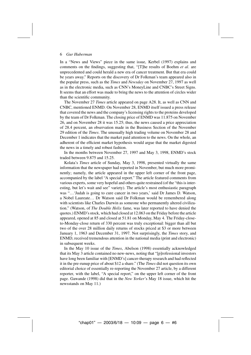In a "News and Views" piece in the same issue, Kerbel (1997) explains and comments on the findings, suggesting that, "[T]he results of Boehm *et al*. are unprecedented and could herald a new era of cancer treatment. But that era could be years away." Reports on the discovery of Dr Folkman's team appeared also in the popular press, such as the *Times* and *Newsday* on November 27, 1997 as well as in the electronic media, such as CNN's MoneyLine and CNBC's Street Signs. It seems that an effort was made to bring the news to the attention of circles wider than the scientific community.

The November 27 *Times* article appeared on page A28. It, as well as CNN and CNBC, mentioned ENMD. On November 28, ENMD itself issued a press release that covered the news and the company's licensing rights to the proteins developed by the team of Dr Folkman. The closing price of ENMD was 11.875 on November 26, and on November 28 it was 15.25; thus, the news caused a price appreciation of 28.4 percent, an observation made in the Business Section of the November 29 edition of the *Times*. The unusually high trading volume on November 28 and December 1 indicates that the market paid attention to the news. On the whole, an adherent of the efficient market hypothesis would argue that the market digested the news in a timely and robust fashion.

In the months between November 27, 1997 and May 3, 1998, ENMD's stock traded between 9.875 and 15.25.

Kolata's *Times* article of Sunday, May 3, 1998, presented virtually the same information that the newspaper had reported in November, but much more prominently; namely, the article appeared in the upper left corner of the front page, accompanied by the label "A special report." The article featured comments from various experts, some very hopeful and others quite restrained (of the "this is interesting, but let's wait and see" variety). The article's most enthusiastic paragraph was "…'Judah is going to cure cancer in two years,' said Dr James D. Watson, a Nobel Laureate… Dr Watson said Dr Folkman would be remembered along with scientists like Charles Darwin as someone who permanently altered civilization." (Watson, of *The Double Helix* fame, was later reported to have denied the quotes.) ENMD's stock, which had closed at 12.063 on the Friday before the article appeared, opened at 85 and closed at 51.81 on Monday, May 4. The Friday-closeto-Monday-close return of 330 percent was truly exceptional: bigger than all but two of the over 28 million daily returns of stocks priced at \$3 or more between January 1, 1963 and December 31, 1997. Not surprisingly, the *Times* story, and ENMD, received tremendous attention in the national media (print and electronic) in subsequent weeks.

In the May 10 issue of the *Times*, Abelson (1998) essentially acknowledged that its May 3 article contained no new-news, noting that "[p]rofessional investors have long been familiar with [ENMD's] cancer-therapy research and had reflected it in the pre-runup price of about \$12 a share." (The *Times* did not question its own editorial choice of essentially re-reporting the November 27 article, by a different reporter, with the label, "A special report," on the upper left corner of the front page. Gawande (1998) did that in the *New Yorker*'s May 18 issue, which hit the newsstands on May 11.)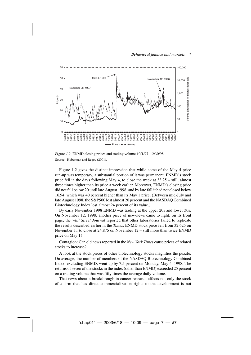

*Figure 1.2* ENMD closing prices and trading volume 10/1/97–12/30/98. Source: Huberman and Regev (2001).

Figure 1.2 gives the distinct impression that while some of the May 4 price run-up was temporary, a substantial portion of it was permanent. ENMD's stock price fell in the days following May 4, to close the week at 33.25 – still, almost three times higher than its price a week earlier. Moreover, ENMD's closing price did not fall below 20 until late August 1998, and by late fall it had not closed below 16.94, which was 40 percent higher than its May 1 price. (Between mid-July and late August 1998, the S&P500 lost almost 20 percent and the NASDAQ Combined Biotechnology Index lost almost 24 percent of its value.)

By early November 1998 ENMD was trading at the upper 20s and lower 30s. On November 12, 1998, another piece of new-news came to light: on its front page, the *Wall Street Journal* reported that other laboratories failed to replicate the results described earlier in the *Times*. ENMD stock price fell from 32.625 on November 11 to close at 24.875 on November 12 – still more than twice ENMD price on May 1!

Contagion: Can old news reported in the *New York Times* cause prices of related stocks to increase?

A look at the stock prices of other biotechnology stocks magnifies the puzzle. On average, the number of members of the NASDAQ Biotechnology Combined Index, excluding ENMD, went up by 7.5 percent on Monday, May 4, 1998. The returns of seven of the stocks in the index (other than ENMD) exceeded 25 percent on a trading volume that was fifty times the average daily volume.

That news about a breakthrough in cancer research affects not only the stock of a firm that has direct commercialization rights to the development is not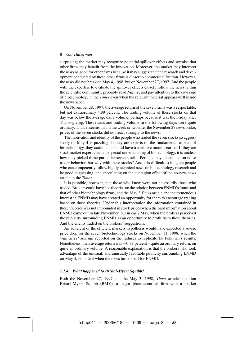surprising; the market may recognize potential spillover effects and surmise that other firms may benefit from the innovation. Moreover, the market may interpret the news as good for other firms because it may suggest that the research and development conducted by these other firms is closer to commercial fruition. However, the news did not break on May 4, 1998, but on November 27, 1997. And the people with the expertise to evaluate the spillover effects closely follow the news within the scientific community, probably read *Nature*, and pay attention to the coverage of biotechnology in the *Times* even when the relevant material appears well inside the newspaper.

On November 28, 1997, the average return of the seven firms was a respectable, but not extraordinary 4.89 percent. The trading volume of these stocks on that day was below the average daily volume, perhaps because it was the Friday after Thanksgiving. The returns and trading volume in the following days were quite ordinary. Thus, it seems that in the week or two after the November 27 news broke, prices of the seven stocks did not react strongly to the news.

The motivation and identity of the people who traded the seven stocks so aggressively on May 4 is puzzling. If they are experts on the fundamental aspects of biotechnology, they could, and should have traded five months earlier. If they are stock market experts, with no special understanding of biotechnology, it is unclear how they picked these particular seven stocks. Perhaps they speculated on noise trader behavior, but why with these stocks? And it is difficult to imagine people who can competently follow highly technical news on biotechnology research and be good at guessing, and speculating on the contagion effect of the no-new-news article in the *Times*.

It is possible, however, that those who knew were not necessarily those who traded. Brokers could have had theories on the relation between ENMD's future and that of other biotechnology firms, and the May 3 *Times* article and the tremendous interest in ENMD may have created an opportunity for them to encourage trading based on those theories. Under this interpretation the information contained in these theories was not impounded in stock prices when the hard information about ENMD came out in late November, but in early May, when the brokers perceived the publicity surrounding ENMD as an opportunity to profit from these theories. And the clients traded on the brokers' suggestions.

An adherent of the efficient markets hypothesis would have expected a severe price drop for the seven biotechnology stocks on November 11, 1998, when the *Wall Street Journal* reported on the failures to replicate Dr Folkman's results. Nonetheless, their average return was −0.81 percent – quite an ordinary return, on quite an ordinary volume. A reasonable explanation is that the brokers who took advantage of the unusual, and unusually favorable publicity surrounding ENMD on May 4, fell silent when the news turned bad for ENMD.

#### *1.2.4 What happened to Bristol-Myers Squibb?*

Both the November 27, 1997 and the May 3, 1998, *Times* articles mention Bristol-Myers Squibb (BMY), a major pharmaceutical firm with a market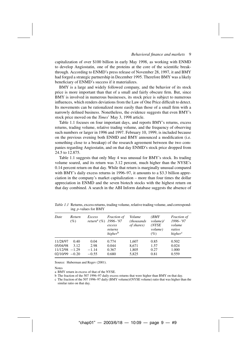capitalization of over \$100 billion in early May 1998, as working with ENMD to develop Angiostatin, one of the proteins at the core of the scientific breakthrough. According to ENMD's press release of November 28, 1997, it and BMY had forged a strategic partnership in December 1995. Therefore BMY was a likely beneficiary of ENMD's success if it materializes.

BMY is a large and widely followed company, and the behavior of its stock price is more important than that of a small and fairly obscure firm. But, since BMY is involved in numerous businesses, its stock price is subject to numerous influences, which renders deviations from the Law of One Price difficult to detect. Its movements can be rationalized more easily than those of a small firm with a narrowly defined business. Nonetheless, the evidence suggests that even BMY's stock price moved on the *Times*' May 3, 1998 article.

Table 1.1 focuses on four important days, and reports BMY's returns, excess returns, trading volume, relative trading volume, and the frequency of observing such numbers or larger in 1996 and 1997. February 10, 1999, is included because on the previous evening both ENMD and BMY announced a modification (i.e. something close to a breakup) of the research agreement between the two companies regarding Angiostatin, and on that day ENMD's stock price dropped from 24.5 to 12.875.

Table 1.1 suggests that only May 4 was unusual for BMY's stock. Its trading volume soared, and its return was 3.12 percent, much higher than the NYSE's 0.14 percent return on that day. While that return is marginally unusual compared with BMY's daily excess returns in 1996–97, it amounts to a \$3.3 billion appreciation in the company's market capitalization – more than four times the dollar appreciation in ENMD and the seven biotech stocks with the highest return on that day combined. A search in the ABI Inform database suggests the absence of

| Date             | Return<br>(%) | Excess<br>return <sup>a</sup> $(\%)$ | Fraction of<br>1996-'97<br>excess<br>returns<br>higher <sup>b</sup> | Volume<br><i>(thousands)</i><br>of shares) | (BMY)<br>volume)/<br>(NYSE)<br>volume)<br>(%) | Fraction of<br>1996-'97<br>volume<br>ratios<br>higher <sup>c</sup> |
|------------------|---------------|--------------------------------------|---------------------------------------------------------------------|--------------------------------------------|-----------------------------------------------|--------------------------------------------------------------------|
| 11/28/97         | 0.40          | 0.04                                 | 0.774                                                               | 1,607                                      | 0.85                                          | 0.502                                                              |
| 05/04/98         | 3.12          | 2.98                                 | 0.044                                                               | 8,671                                      | 1.57                                          | 0.024                                                              |
| 11/12/98         | $-1.29$       | $-1.14$                              | 0.367                                                               | 1,805                                      | 0.27                                          | 1.000                                                              |
| $02/10/99$ -0.20 |               | $-0.55$                              | 0.680                                                               | 5,825                                      | 0.81                                          | 0.559                                                              |

*Table 1.1* Returns, excess returns, trading volume, relative trading volume, and corresponding p-values for BMY

Source: Huberman and Regev (2001).

Notes

a BMY return in excess of that of the NYSE.

b The fraction of the 507 1996–97 daily excess returns that were higher than BMY on that day.

c The fraction of the 507 1996–97 daily (BMY volume)/(NYSE volume) ratio that was higher than the similar ratio on that day.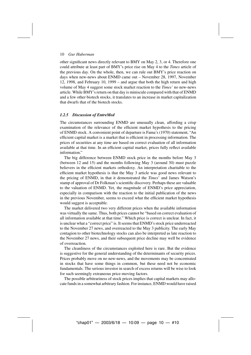other significant news directly relevant to BMY on May 2, 3, or 4. Therefore one could attribute at least part of BMY's price rise on May 4 to the *Times* article of the previous day. On the whole, then, we can rule out BMY's price reaction on days when new-news about ENMD came out – November 28, 1997, November 12, 1998, and February 10, 1999 – and argue that both the high return and high volume of May 4 suggest some stock market reaction to the *Times'* no new-news article. While BMY's return on that day is miniscule compared with that of ENMD and a few other biotech stocks, it translates to an increase in market capitalization that dwarfs that of the biotech stocks.

## *1.2.5 Discussion of EntreMed*

The circumstances surrounding ENMD are unusually clean, affording a crisp examination of the relevance of the efficient market hypothesis to the pricing of ENMD stock. A convenient point of departure is Fama's (1970) statement, "An efficient capital market is a market that is efficient in processing information. The prices of securities at any time are based on correct evaluation of all information available at that time. In an efficient capital market, prices fully reflect available information."

The big difference between ENMD stock price in the months before May 3 (between 12 and 15) and the months following May 3 (around 30) must puzzle believers in the efficient markets orthodoxy. An interpretation charitable to the efficient market hypothesis is that the May 3 article was good news relevant to the pricing of ENMD, in that it demonstrated the *Times*' and James Watson's stamp of approval of Dr Folkman's scientific discovery. Perhaps these are valuable to the valuation of ENMD. Yet, the magnitude of ENMD's price appreciation, especially in comparison with the reaction to the initial publication of the news in the previous November, seems to exceed what the efficient market hypothesis would suggest is acceptable.

The market delivered two very different prices when the available information was virtually the same. Thus, both prices cannot be "based on correct evaluation of all information available at that time." Which price is correct is unclear. In fact, it is unclear what a "correct price" is. It seems that ENMD's stock price underreacted to the November 27 news, and overreacted to the May 3 publicity. The early May contagion to other biotechnology stocks can also be interpreted as late reaction to the November 27 news, and their subsequent price decline may well be evidence of overreaction.

The cleanliness of the circumstances exploited here is rare. But the evidence is suggestive for the general understanding of the determinants of security prices. Prices probably move on no new-news, and the movements may be concentrated in stocks that have some things in common, but these need not be economic fundamentals. The serious investor in search of excess returns will be wise to look for such seemingly extraneous price-moving factors.

The possible arbitrariness of stock prices implies that capital markets may allocate funds in a somewhat arbitrary fashion. For instance, ENMD would have raised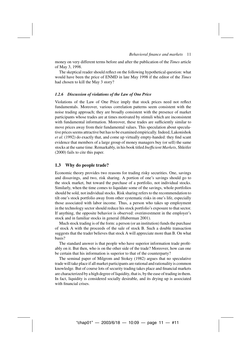money on very different terms before and after the publication of the *Times* article of May 3, 1998.

The skeptical reader should reflect on the following hypothetical question: what would have been the price of ENMD in late May 1998 if the editor of the *Times* had chosen to kill the May 3 story?

#### *1.2.6 Discussion of violations of the Law of One Price*

Violations of the Law of One Price imply that stock prices need not reflect fundamentals. Moreover, various correlation patterns seem consistent with the noise trading approach; they are broadly consistent with the presence of market participants whose trades are at times motivated by stimuli which are inconsistent with fundamental information. Moreover, these trades are sufficiently similar to move prices away from their fundamental values. This speculation about speculative prices seems attractive but has to be examined empirically. Indeed, Lakonishok *et al*. (1992) do exactly that, and come up virtually empty-handed: they find scant evidence that members of a large group of money managers buy (or sell) the same stocks at the same time. Remarkably, in his book titled *Inefficient Markets*, Shleifer (2000) fails to cite this paper.

## **1.3 Why do people trade?**

Economic theory provides two reasons for trading risky securities. One, savings and dissavings, and two, risk sharing. A portion of one's savings should go to the stock market, but toward the purchase of a portfolio, not individual stocks. Similarly, when the time comes to liquidate some of the savings, whole portfolios should be sold, not individual stocks. Risk sharing refers to the recommendation to tilt one's stock portfolio away from other systematic risks in one's life, especially those associated with labor income. Thus, a person who takes up employment in the technology sector should reduce his stock portfolio's exposure to that sector. If anything, the opposite behavior is observed: overinvestment in the employer's stock and in familiar stocks in general (Huberman 2001).

Much stock trading is of the form: a person (or an institution) funds the purchase of stock A with the proceeds of the sale of stock B. Such a double transaction suggests that the trader believes that stock A will appreciate more than B. On what basis?

The standard answer is that people who have superior information trade profitably on it. But then, who is on the other side of the trade? Moreover, how can one be certain that his information is superior to that of the counterparty?

The seminal paper of Milgrom and Stokey (1982) argues that no speculative trade will take place if all market participants are rational and rationality is common knowledge. But of course lots of security trading takes place and financial markets are characterized by a high degree of liquidity, that is, by the ease of trading in them. In fact, liquidity is considered socially desirable, and its drying up is associated with financial crises.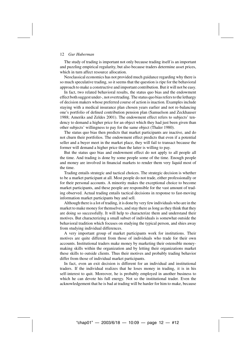The study of trading is important not only because trading itself is an important and puzzling empirical regularity, but also because traders determine asset prices, which in turn affect resource allocation.

Neoclassical economics has not provided much guidance regarding why there is so much speculative trading, so it seems that the question is ripe for the behavioral approach to make a constructive and important contribution. But it will not be easy.

In fact, two related behavioral results, the status quo bias and the endowment effect both suggest under-, not overtrading. The status quo bias refers to the lethargy of decision makers whose preferred course of action is inaction. Examples include staying with a medical insurance plan chosen years earlier and not re-balancing one's portfolio of defined contribution pension plan (Samuelson and Zeckhauser 1988; Ameriks and Zeldes 2001). The endowment effect refers to subjects' tendency to demand a higher price for an object which they had just been given than other subjects' willingness to pay for the same object (Thaler 1980).

The status quo bias then predicts that market participants are inactive, and do not churn their portfolios. The endowment effect predicts that even if a potential seller and a buyer meet in the market place, they will fail to transact because the former will demand a higher price than the latter is willing to pay.

But the status quo bias and endowment effect do not apply to all people all the time. And trading is done by some people some of the time. Enough people and money are involved in financial markets to render them very liquid most of the time.

Trading entails strategic and tactical choices. The strategic decision is whether to be a market participant at all. Most people do not trade, either professionally or for their personal accounts. A minority makes the exceptional choice to become market participants, and these people are responsible for the vast amount of trading observed. Actual trading entails tactical decisions in response to fast-moving information market participants buy and sell.

Although there is a lot of trading, it is done by very few individuals who are in the market to make money for themselves, and stay there as long as they think that they are doing so successfully. It will help to characterize them and understand their motives. But characterizing a small subset of individuals is somewhat outside the behavioral tradition which focuses on studying the typical person, and shies away from studying individual differences.

A very important group of market participants work for institutions. Their motives are quite different from those of individuals who trade for their own accounts. Institutional traders make money by marketing their ostensible moneymaking skills within the organization and by letting their organizations market these skills to outside clients. Thus their motives and probably trading behavior differ from those of individual market participants.

In fact, even an exit decision is different for an individual and institutional traders. If the individual realizes that he loses money in trading, it is in his self-interest to quit. Moreover, he is probably employed in another business to which he can devote his full energy. Not so the institutional trader. Even the acknowledgement that he is bad at trading will be harder for him to make, because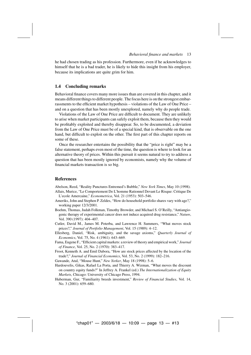he had chosen trading as his profession. Furthermore, even if he acknowledges to himself that he is a bad trader, he is likely to hide this insight from his employer, because its implications are quite grim for him.

## **1.4 Concluding remarks**

Behavioral finance covers many more issues than are covered in this chapter, and it means different things to different people. The focus here is on the strongest embarrassments to the efficient market hypothesis – violations of the Law of One Price – and on a question that has been mostly unexplored, namely why do people trade.

Violations of the Law of One Price are difficult to document. They are unlikely to arise when market participants can safely exploit them, because then they would be profitably exploited and thereby disappear. So, to be documented, a deviation from the Law of One Price must be of a special kind, that is observable on the one hand, but difficult to exploit on the other. The first part of this chapter reports on some of these.

Once the researcher entertains the possibility that the "price is right" may be a false statement, perhaps even most of the time, the question is where to look for an alternative theory of prices. Within this pursuit it seems natural to try to address a question that has been mostly ignored by economists, namely why the volume of financial markets transaction is so big.

#### **References**

Abelson, Reed, "Reality Punctures Entremed's Bubble," *New York Times*, May 10 (1998).

- Allais, Murice, "Le Comportement De L'homme Rationnel Devant Le Risque: Critique De L'ecole Amercaine," *Econometrica*, Vol. 21 (1953): 503–546.
- Ameriks, John and Stephen P. Zeldes, "How do household portfolio shares vary with age?," working paper 12/3/2001.
- Boehm, Thomas, Judah Folkman, Timothy Browder, and Michael S. O'Reilly, "Antiangiogenic therapy of experimental cancer does not induce acquired drug resistance," *Nature*, Vol. 390 (1997): 404–407.
- Cutler, David M., James M. Poterba, and Lawrence H. Summers, "What moves stock prices?," *Journal of Portfolio Management*, Vol. 15 (1989): 4–12.
- Ellesberg, Daniel, "Risk, ambiguity, and the savage axioms," *Quarterly Journal of Economics*, Vol. 75, No. 4 (1961): 643–669.
- Fama, Eugene F., "Efficient capital markets: a review of theory and empirical work," *Journal of Finance*, Vol. 25, No. 2 (1970): 383–417.
- Froot, Kenneth A. and Emil Dabora, "How are stock prices affected by the location of the trade?," *Journal of Financial Economics*, Vol. 53, No. 2 (1999): 182–216.
- Gawande, Atul, "Mouse Hunt," *New Yorker*, May 18 (1998): 5–6.
- Hardouvelis, Gikas, Rafael La Porta, and Thierry A. Wizman, "What moves the discount on country equity funds?" In Jeffrey A. Frankel (ed.) *The Internationalization of Equity Markets*, Chicago: University of Chicago Press, 1994.
- Huberman, Gur, "Familiarity breeds investment," *Review of Financial Studies*, Vol. 14, No. 3 (2001): 659–680.